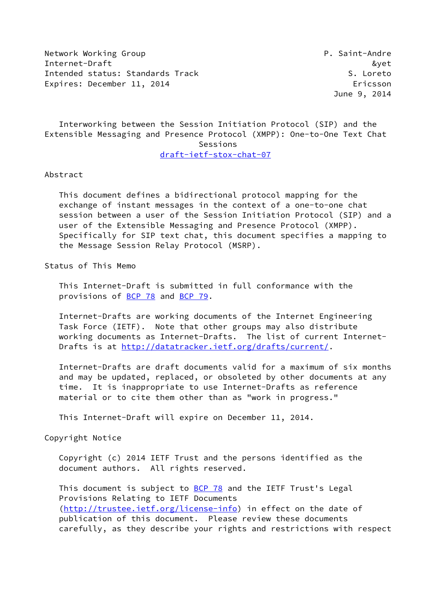Network Working Group **P. Saint-Andre** Internet-Draft &yet Intended status: Standards Track S. Loreto Expires: December 11, 2014 **Expires: Expires: December 11, 2014** 

June 9, 2014

 Interworking between the Session Initiation Protocol (SIP) and the Extensible Messaging and Presence Protocol (XMPP): One-to-One Text Chat Sessions [draft-ietf-stox-chat-07](https://datatracker.ietf.org/doc/pdf/draft-ietf-stox-chat-07)

Abstract

 This document defines a bidirectional protocol mapping for the exchange of instant messages in the context of a one-to-one chat session between a user of the Session Initiation Protocol (SIP) and a user of the Extensible Messaging and Presence Protocol (XMPP). Specifically for SIP text chat, this document specifies a mapping to the Message Session Relay Protocol (MSRP).

Status of This Memo

 This Internet-Draft is submitted in full conformance with the provisions of [BCP 78](https://datatracker.ietf.org/doc/pdf/bcp78) and [BCP 79](https://datatracker.ietf.org/doc/pdf/bcp79).

 Internet-Drafts are working documents of the Internet Engineering Task Force (IETF). Note that other groups may also distribute working documents as Internet-Drafts. The list of current Internet- Drafts is at<http://datatracker.ietf.org/drafts/current/>.

 Internet-Drafts are draft documents valid for a maximum of six months and may be updated, replaced, or obsoleted by other documents at any time. It is inappropriate to use Internet-Drafts as reference material or to cite them other than as "work in progress."

This Internet-Draft will expire on December 11, 2014.

Copyright Notice

 Copyright (c) 2014 IETF Trust and the persons identified as the document authors. All rights reserved.

This document is subject to **[BCP 78](https://datatracker.ietf.org/doc/pdf/bcp78)** and the IETF Trust's Legal Provisions Relating to IETF Documents [\(http://trustee.ietf.org/license-info](http://trustee.ietf.org/license-info)) in effect on the date of publication of this document. Please review these documents carefully, as they describe your rights and restrictions with respect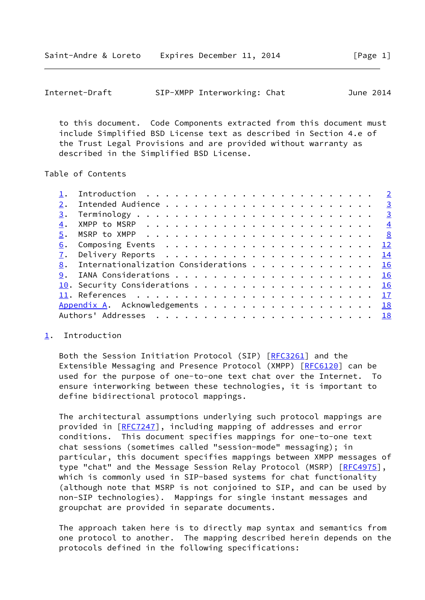<span id="page-1-1"></span>

|  | Internet-Draft |  | SIP-XMPP Interworking: Chat | June 2014 |
|--|----------------|--|-----------------------------|-----------|
|--|----------------|--|-----------------------------|-----------|

 to this document. Code Components extracted from this document must include Simplified BSD License text as described in Section 4.e of the Trust Legal Provisions and are provided without warranty as described in the Simplified BSD License.

Table of Contents

| 2. |                                           |  |
|----|-------------------------------------------|--|
|    |                                           |  |
| 4. |                                           |  |
|    |                                           |  |
|    |                                           |  |
| 7. |                                           |  |
|    | 8. Internationalization Considerations 16 |  |
|    |                                           |  |
|    | 10. Security Considerations 16            |  |
|    |                                           |  |
|    | Appendix A. Acknowledgements 18           |  |
|    |                                           |  |
|    |                                           |  |

# <span id="page-1-0"></span>[1](#page-1-0). Introduction

Both the Session Initiation Protocol (SIP) [[RFC3261\]](https://datatracker.ietf.org/doc/pdf/rfc3261) and the Extensible Messaging and Presence Protocol (XMPP) [[RFC6120](https://datatracker.ietf.org/doc/pdf/rfc6120)] can be used for the purpose of one-to-one text chat over the Internet. To ensure interworking between these technologies, it is important to define bidirectional protocol mappings.

 The architectural assumptions underlying such protocol mappings are provided in [\[RFC7247](https://datatracker.ietf.org/doc/pdf/rfc7247)], including mapping of addresses and error conditions. This document specifies mappings for one-to-one text chat sessions (sometimes called "session-mode" messaging); in particular, this document specifies mappings between XMPP messages of type "chat" and the Message Session Relay Protocol (MSRP) [[RFC4975](https://datatracker.ietf.org/doc/pdf/rfc4975)], which is commonly used in SIP-based systems for chat functionality (although note that MSRP is not conjoined to SIP, and can be used by non-SIP technologies). Mappings for single instant messages and groupchat are provided in separate documents.

 The approach taken here is to directly map syntax and semantics from one protocol to another. The mapping described herein depends on the protocols defined in the following specifications: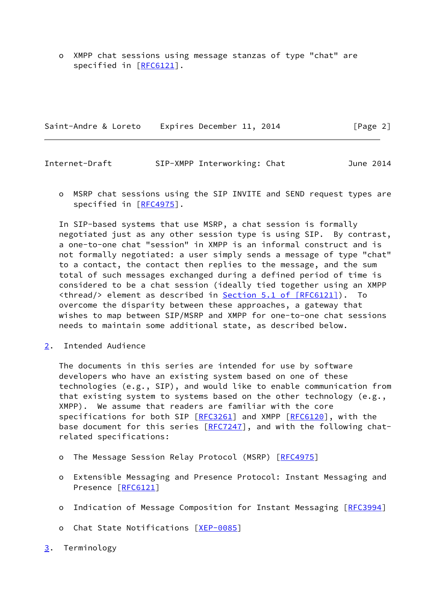o XMPP chat sessions using message stanzas of type "chat" are specified in [\[RFC6121](https://datatracker.ietf.org/doc/pdf/rfc6121)].

Saint-Andre & Loreto Expires December 11, 2014 [Page 2]

<span id="page-2-1"></span>Internet-Draft SIP-XMPP Interworking: Chat June 2014

 o MSRP chat sessions using the SIP INVITE and SEND request types are specified in [\[RFC4975](https://datatracker.ietf.org/doc/pdf/rfc4975)].

 In SIP-based systems that use MSRP, a chat session is formally negotiated just as any other session type is using SIP. By contrast, a one-to-one chat "session" in XMPP is an informal construct and is not formally negotiated: a user simply sends a message of type "chat" to a contact, the contact then replies to the message, and the sum total of such messages exchanged during a defined period of time is considered to be a chat session (ideally tied together using an XMPP <thread/> element as described in Section [5.1 of \[RFC6121\]](https://datatracker.ietf.org/doc/pdf/rfc6121#section-5.1)). To overcome the disparity between these approaches, a gateway that wishes to map between SIP/MSRP and XMPP for one-to-one chat sessions needs to maintain some additional state, as described below.

<span id="page-2-0"></span>[2](#page-2-0). Intended Audience

 The documents in this series are intended for use by software developers who have an existing system based on one of these technologies (e.g., SIP), and would like to enable communication from that existing system to systems based on the other technology (e.g., XMPP). We assume that readers are familiar with the core specifications for both SIP [\[RFC3261](https://datatracker.ietf.org/doc/pdf/rfc3261)] and XMPP [\[RFC6120](https://datatracker.ietf.org/doc/pdf/rfc6120)], with the base document for this series [[RFC7247](https://datatracker.ietf.org/doc/pdf/rfc7247)], and with the following chatrelated specifications:

- o The Message Session Relay Protocol (MSRP) [\[RFC4975](https://datatracker.ietf.org/doc/pdf/rfc4975)]
- o Extensible Messaging and Presence Protocol: Instant Messaging and Presence [\[RFC6121](https://datatracker.ietf.org/doc/pdf/rfc6121)]
- o Indication of Message Composition for Instant Messaging [[RFC3994\]](https://datatracker.ietf.org/doc/pdf/rfc3994)
- o Chat State Notifications [\[XEP-0085](#page-18-2)]
- <span id="page-2-2"></span>[3](#page-2-2). Terminology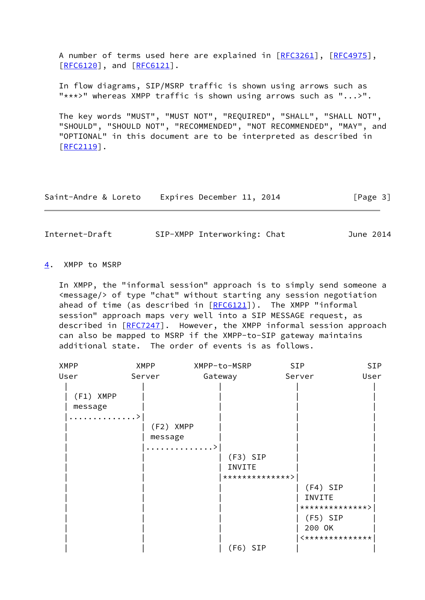A number of terms used here are explained in [\[RFC3261](https://datatracker.ietf.org/doc/pdf/rfc3261)], [\[RFC4975](https://datatracker.ietf.org/doc/pdf/rfc4975)], [\[RFC6120](https://datatracker.ietf.org/doc/pdf/rfc6120)], and [\[RFC6121](https://datatracker.ietf.org/doc/pdf/rfc6121)].

 In flow diagrams, SIP/MSRP traffic is shown using arrows such as "\*\*\*>" whereas XMPP traffic is shown using arrows such as "...>".

 The key words "MUST", "MUST NOT", "REQUIRED", "SHALL", "SHALL NOT", "SHOULD", "SHOULD NOT", "RECOMMENDED", "NOT RECOMMENDED", "MAY", and "OPTIONAL" in this document are to be interpreted as described in [\[RFC2119](https://datatracker.ietf.org/doc/pdf/rfc2119)].

| Saint-Andre & Loreto | Expires December 11, 2014 | [Page 3] |
|----------------------|---------------------------|----------|
|----------------------|---------------------------|----------|

<span id="page-3-1"></span>Internet-Draft SIP-XMPP Interworking: Chat June 2014

#### <span id="page-3-0"></span>[4](#page-3-0). XMPP to MSRP

 In XMPP, the "informal session" approach is to simply send someone a <message/> of type "chat" without starting any session negotiation ahead of time (as described in [\[RFC6121](https://datatracker.ietf.org/doc/pdf/rfc6121)]). The XMPP "informal session" approach maps very well into a SIP MESSAGE request, as described in [\[RFC7247](https://datatracker.ietf.org/doc/pdf/rfc7247)]. However, the XMPP informal session approach can also be mapped to MSRP if the XMPP-to-SIP gateway maintains additional state. The order of events is as follows.

| <b>XMPP</b> | <b>XMPP</b> | XMPP-to-MSRP    | <b>SIP</b>      | SIP  |
|-------------|-------------|-----------------|-----------------|------|
| User        | Server      | Gateway         | Server          | User |
|             |             |                 |                 |      |
| (F1) XMPP   |             |                 |                 |      |
| message     |             |                 |                 |      |
| . >         |             |                 |                 |      |
|             | (F2) XMPP   |                 |                 |      |
|             | message     |                 |                 |      |
|             |             | . >             |                 |      |
|             |             | $(F3)$ SIP      |                 |      |
|             |             | INVITE          |                 |      |
|             |             | **************> |                 |      |
|             |             |                 | $(F4)$ SIP      |      |
|             |             |                 | INVITE          |      |
|             |             |                 | **************> |      |
|             |             |                 | $(F5)$ SIP      |      |
|             |             |                 | 200 OK          |      |
|             |             |                 | <************** |      |
|             |             | $(F6)$ SIP      |                 |      |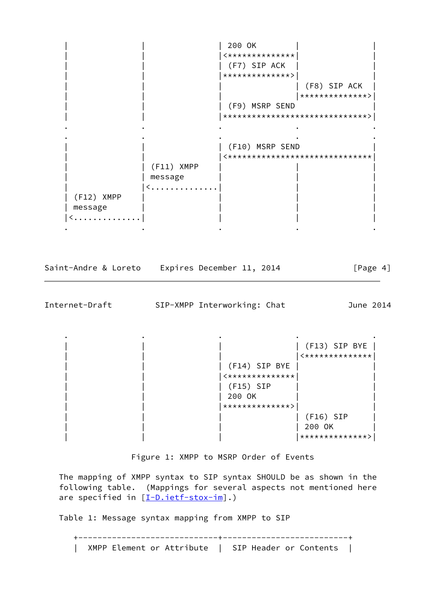| 200 OK  $|\times \star \star \star \star \star \star \star \star \star \star \star \star \star \star |$ | (F7) SIP ACK | | |\*\*\*\*\*\*\*\*\*\*\*\*\*\*>| | | (F8) SIP ACK | | | |\*\*\*\*\*\*\*\*\*\*\*\*\*\*>| | (F9) MSRP SEND | | |\*\*\*\*\*\*\*\*\*\*\*\*\*\*\*\*\*\*\*\*\*\*\*\*\*\*\*\*\*\*>| . The contract of the contract of the contract of the contract of the contract of the contract of the contract of the contract of the contract of the contract of the contract of the contract of the contract of the contrac . The contract of the contract of the contract of the contract of the contract of the contract of the contract of the contract of the contract of the contract of the contract of the contract of the contract of the contrac | (F10) MSRP SEND | | |<\*\*\*\*\*\*\*\*\*\*\*\*\*\*\*\*\*\*\*\*\*\*\*\*\*\*\*\*\*\*| | | (F11) XMPP | | | | | message | | | | < . . . . . . . . . . . . . | (F12) XMPP message |<..............| | | | . The contract of the contract of the contract of the contract of the contract of the contract of the contract of the contract of the contract of the contract of the contract of the contract of the contract of the contrac

Saint-Andre & Loreto Expires December 11, 2014 [Page 4]

Internet-Draft SIP-XMPP Interworking: Chat June 2014

. The contract of the contract of the contract of the contract of the contract of the contract of the contract of the contract of the contract of the contract of the contract of the contract of the contract of the contrac | | | | (F13) SIP BYE |  $|$  <\*\*\*\*\*\*\*\*\*\*\*\*\*\* | | | (F14) SIP BYE | |  $|$  <\*\*\*\*\*\*\*\*\*\*\*\*\*\* | | | (F15) SIP | | | 200 OK | | |\*\*\*\*\*\*\*\*\*\*\*\*\*\*>| | | | | | (F16) SIP |  $| 200$  OK | | | |\*\*\*\*\*\*\*\*\*\*\*\*\*\*>|

Figure 1: XMPP to MSRP Order of Events

 The mapping of XMPP syntax to SIP syntax SHOULD be as shown in the following table. (Mappings for several aspects not mentioned here are specified in  $[I-D.iett-stox-im]$ .)

Table 1: Message syntax mapping from XMPP to SIP

 +-----------------------------+--------------------------+ | XMPP Element or Attribute | SIP Header or Contents |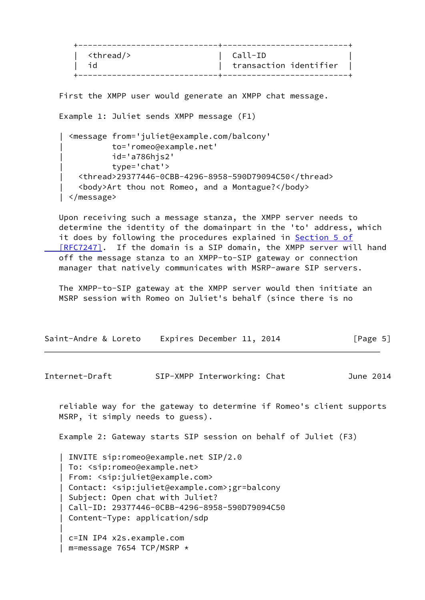| <thread></thread> | Call-ID<br>transaction identifier |
|-------------------|-----------------------------------|
|-------------------|-----------------------------------|

First the XMPP user would generate an XMPP chat message.

```
 Example 1: Juliet sends XMPP message (F1)
```

```
 | <message from='juliet@example.com/balcony'
           | to='romeo@example.net'
           | id='a786hjs2'
           | type='chat'>
   | <thread>29377446-0CBB-4296-8958-590D79094C50</thread>
   | <body>Art thou not Romeo, and a Montague?</body>
 | </message>
```
 Upon receiving such a message stanza, the XMPP server needs to determine the identity of the domainpart in the 'to' address, which it does by following the procedures explained in [Section](https://datatracker.ietf.org/doc/pdf/rfc7247#section-5) 5 of  [\[RFC7247\]](https://datatracker.ietf.org/doc/pdf/rfc7247#section-5). If the domain is a SIP domain, the XMPP server will hand off the message stanza to an XMPP-to-SIP gateway or connection manager that natively communicates with MSRP-aware SIP servers.

 The XMPP-to-SIP gateway at the XMPP server would then initiate an MSRP session with Romeo on Juliet's behalf (since there is no

| Saint-Andre & Loreto | Expires December 11, 2014 |  | [Page 5] |
|----------------------|---------------------------|--|----------|
|----------------------|---------------------------|--|----------|

Internet-Draft SIP-XMPP Interworking: Chat June 2014

 reliable way for the gateway to determine if Romeo's client supports MSRP, it simply needs to guess).

Example 2: Gateway starts SIP session on behalf of Juliet (F3)

 | INVITE sip:romeo@example.net SIP/2.0 | To: <sip:romeo@example.net> | From: <sip:juliet@example.com> | Contact: <sip:juliet@example.com>;gr=balcony | Subject: Open chat with Juliet? | Call-ID: 29377446-0CBB-4296-8958-590D79094C50 | Content-Type: application/sdp | c=IN IP4 x2s.example.com

| m=message 7654 TCP/MSRP \*

|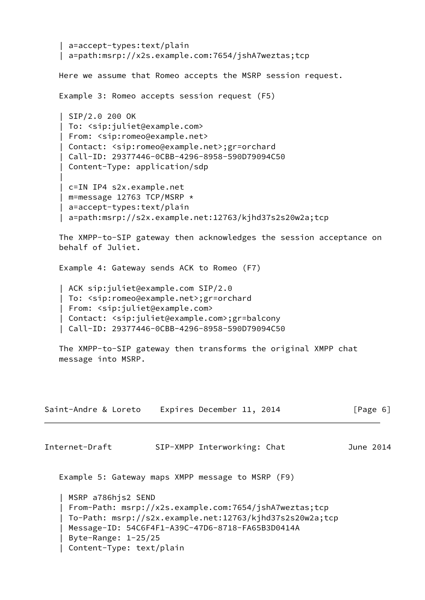```
 | a=accept-types:text/plain
    | a=path:msrp://x2s.example.com:7654/jshA7weztas;tcp
    Here we assume that Romeo accepts the MSRP session request.
    Example 3: Romeo accepts session request (F5)
    | SIP/2.0 200 OK
    | To: <sip:juliet@example.com>
    | From: <sip:romeo@example.net>
    | Contact: <sip:romeo@example.net>;gr=orchard
    | Call-ID: 29377446-0CBB-4296-8958-590D79094C50
    | Content-Type: application/sdp
 |
    | c=IN IP4 s2x.example.net
    | m=message 12763 TCP/MSRP *
    | a=accept-types:text/plain
    | a=path:msrp://s2x.example.net:12763/kjhd37s2s20w2a;tcp
    The XMPP-to-SIP gateway then acknowledges the session acceptance on
    behalf of Juliet.
    Example 4: Gateway sends ACK to Romeo (F7)
    | ACK sip:juliet@example.com SIP/2.0
    | To: <sip:romeo@example.net>;gr=orchard
    | From: <sip:juliet@example.com>
    | Contact: <sip:juliet@example.com>;gr=balcony
    | Call-ID: 29377446-0CBB-4296-8958-590D79094C50
   The XMPP-to-SIP gateway then transforms the original XMPP chat
    message into MSRP.
Saint-Andre & Loreto Expires December 11, 2014 [Page 6]
Internet-Draft SIP-XMPP Interworking: Chat June 2014
    Example 5: Gateway maps XMPP message to MSRP (F9)
    | MSRP a786hjs2 SEND
    | From-Path: msrp://x2s.example.com:7654/jshA7weztas;tcp
    | To-Path: msrp://s2x.example.net:12763/kjhd37s2s20w2a;tcp
    | Message-ID: 54C6F4F1-A39C-47D6-8718-FA65B3D0414A
    | Byte-Range: 1-25/25
    | Content-Type: text/plain
```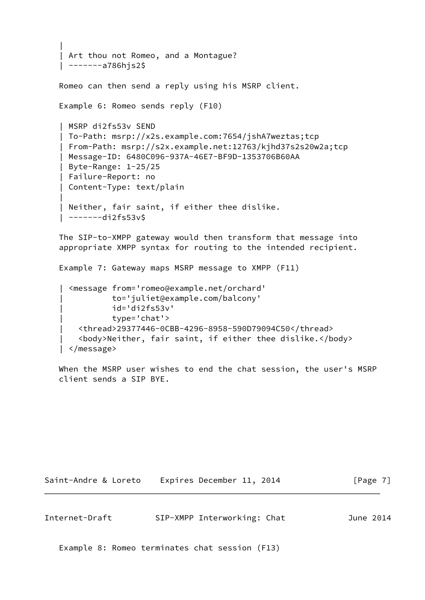```
 |
    Art thou not Romeo, and a Montague?
    | -------a786hjs2$
   Romeo can then send a reply using his MSRP client.
   Example 6: Romeo sends reply (F10)
    | MSRP di2fs53v SEND
    | To-Path: msrp://x2s.example.com:7654/jshA7weztas;tcp
    | From-Path: msrp://s2x.example.net:12763/kjhd37s2s20w2a;tcp
    | Message-ID: 6480C096-937A-46E7-BF9D-1353706B60AA
    | Byte-Range: 1-25/25
    | Failure-Report: no
    | Content-Type: text/plain
 |
    Neither, fair saint, if either thee dislike.
    | -------di2fs53v$
```
 The SIP-to-XMPP gateway would then transform that message into appropriate XMPP syntax for routing to the intended recipient.

Example 7: Gateway maps MSRP message to XMPP (F11)

```
 | <message from='romeo@example.net/orchard'
           | to='juliet@example.com/balcony'
           | id='di2fs53v'
           | type='chat'>
   | <thread>29377446-0CBB-4296-8958-590D79094C50</thread>
   | <body>Neither, fair saint, if either thee dislike.</body>
 | </message>
```
 When the MSRP user wishes to end the chat session, the user's MSRP client sends a SIP BYE.

Saint-Andre & Loreto Expires December 11, 2014 [Page 7]

<span id="page-7-0"></span>Internet-Draft SIP-XMPP Interworking: Chat June 2014

Example 8: Romeo terminates chat session (F13)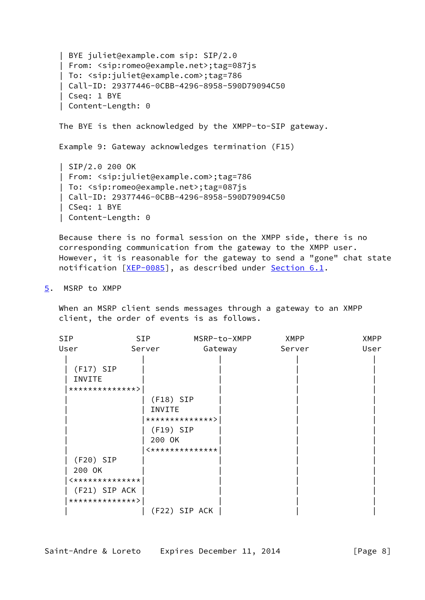```
 | BYE juliet@example.com sip: SIP/2.0
 | From: <sip:romeo@example.net>;tag=087js
 | To: <sip:juliet@example.com>;tag=786
 | Call-ID: 29377446-0CBB-4296-8958-590D79094C50
 | Cseq: 1 BYE
 | Content-Length: 0
 The BYE is then acknowledged by the XMPP-to-SIP gateway.
 Example 9: Gateway acknowledges termination (F15)
 | SIP/2.0 200 OK
 | From: <sip:juliet@example.com>;tag=786
 | To: <sip:romeo@example.net>;tag=087js
 | Call-ID: 29377446-0CBB-4296-8958-590D79094C50
 | CSeq: 1 BYE
 | Content-Length: 0
```
 Because there is no formal session on the XMPP side, there is no corresponding communication from the gateway to the XMPP user. However, it is reasonable for the gateway to send a "gone" chat state notification [\[XEP-0085](#page-18-2)], as described under [Section 6.1.](#page-14-1)

<span id="page-8-0"></span>[5](#page-8-0). MSRP to XMPP

 When an MSRP client sends messages through a gateway to an XMPP client, the order of events is as follows.

| SIP             | SIP         | MSRP-to-XMPP    | XMPP   | <b>XMPP</b> |
|-----------------|-------------|-----------------|--------|-------------|
| User            | Server      | Gateway         | Server | User        |
|                 |             |                 |        |             |
| $(F17)$ SIP     |             |                 |        |             |
| INVITE          |             |                 |        |             |
| **************> |             |                 |        |             |
|                 | $(F18)$ SIP |                 |        |             |
|                 | INVITE      |                 |        |             |
|                 |             | **************> |        |             |
|                 | $(F19)$ SIP |                 |        |             |
|                 | 200 OK      |                 |        |             |
|                 |             | <************** |        |             |
| $(F20)$ SIP     |             |                 |        |             |
| 200 OK          |             |                 |        |             |
| <************** |             |                 |        |             |
| (F21) SIP ACK   |             |                 |        |             |
| **************> |             |                 |        |             |
|                 |             | (F22) SIP ACK   |        |             |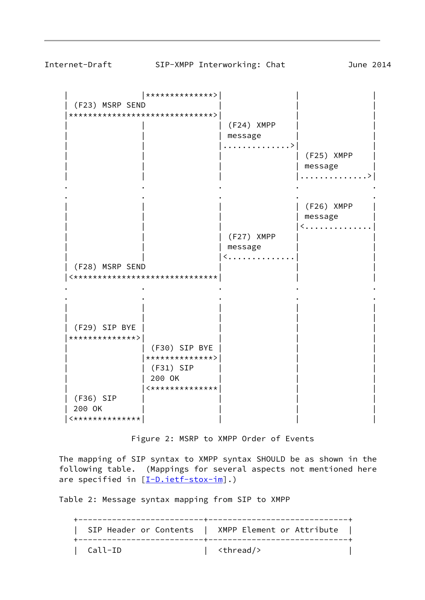| |\*\*\*\*\*\*\*\*\*\*\*\*\*\*>| | | (F23) MSRP SEND |\*\*\*\*\*\*\*\*\*\*\*\*\*\*\*\*\*\*\*\*\*\*\*\*\*\*\*\*\*\*>| | | | | | (F24) XMPP | | | | | message | | | | |..............>| | | | | | (F25) XMPP | | message | . . . . . . . . . . . . . > . The contract of the contract of the contract of the contract of the contract of the contract of the contract of the contract of the contract of the contract of the contract of the contract of the contract of the contrac . The contract of the contract of the contract of the contract of the contract of the contract of the contract of the contract of the contract of the contract of the contract of the contract of the contract of the contrac | | | | (F26) XMPP | | message | < . . . . . . . . . . . . . . | | | (F27) XMPP | | | message  $|$  < . . . . . . . . . . . . . . | (F28) MSRP SEND | | | |<\*\*\*\*\*\*\*\*\*\*\*\*\*\*\*\*\*\*\*\*\*\*\*\*\*\*\*\*\*\*| | | . The contract of the contract of the contract of the contract of the contract of the contract of the contract of the contract of the contract of the contract of the contract of the contract of the contract of the contrac . The contract of the contract of the contract of the contract of the contract of the contract of the contract of the contract of the contract of the contract of the contract of the contract of the contract of the contrac

 | | | | | | | | | | | (F29) SIP BYE | | | | |\*\*\*\*\*\*\*\*\*\*\*\*\*\*>| | | | | | (F30) SIP BYE | | | | |\*\*\*\*\*\*\*\*\*\*\*\*\*\*>| | | | | (F31) SIP | | | | | 200 OK | | |  $|$  <\*\*\*\*\*\*\*\*\*\*\*\*\*\* | (F36) SIP | 200 OK | | | |  $|\times$ \*\*\*\*\*\*\*\*\*\*\*\*\*\*\*

Figure 2: MSRP to XMPP Order of Events

 The mapping of SIP syntax to XMPP syntax SHOULD be as shown in the following table. (Mappings for several aspects not mentioned here are specified in [\[I-D.ietf-stox-im](#page-19-2)].)

Table 2: Message syntax mapping from SIP to XMPP

 +--------------------------+-----------------------------+ | SIP Header or Contents | XMPP Element or Attribute | +--------------------------+-----------------------------+ | Call-ID | <thread/> |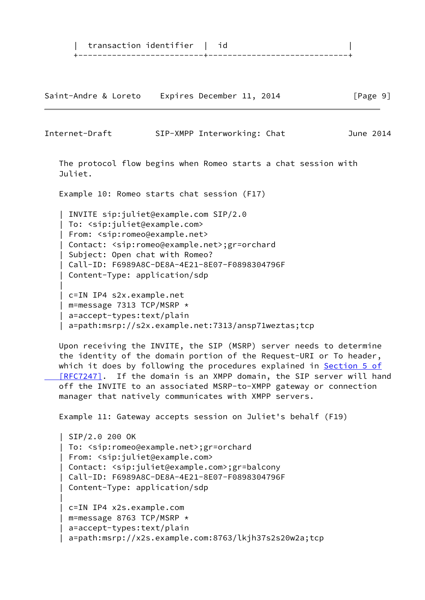| transaction identifier | id | +--------------------------+-----------------------------+

Saint-Andre & Loreto Expires December 11, 2014 [Page 9]

Internet-Draft SIP-XMPP Interworking: Chat June 2014 The protocol flow begins when Romeo starts a chat session with Juliet. Example 10: Romeo starts chat session (F17) | INVITE sip:juliet@example.com SIP/2.0 | To: <sip:juliet@example.com> | From: <sip:romeo@example.net> | Contact: <sip:romeo@example.net>;gr=orchard | Subject: Open chat with Romeo? | Call-ID: F6989A8C-DE8A-4E21-8E07-F0898304796F | Content-Type: application/sdp | | c=IN IP4 s2x.example.net | m=message 7313 TCP/MSRP \* | a=accept-types:text/plain | a=path:msrp://s2x.example.net:7313/ansp71weztas;tcp Upon receiving the INVITE, the SIP (MSRP) server needs to determine

 the identity of the domain portion of the Request-URI or To header, which it does by following the procedures explained in [Section](https://datatracker.ietf.org/doc/pdf/rfc7247#section-5) 5 of [RFC7247]. If the domain is an XMPP domain, the SIP server will hand off the INVITE to an associated MSRP-to-XMPP gateway or connection manager that natively communicates with XMPP servers.

Example 11: Gateway accepts session on Juliet's behalf (F19)

 | SIP/2.0 200 OK | To: <sip:romeo@example.net>;gr=orchard | From: <sip:juliet@example.com> | Contact: <sip:juliet@example.com>;gr=balcony | Call-ID: F6989A8C-DE8A-4E21-8E07-F0898304796F | Content-Type: application/sdp | c=IN IP4 x2s.example.com | m=message 8763 TCP/MSRP \* | a=accept-types:text/plain | a=path:msrp://x2s.example.com:8763/lkjh37s2s20w2a;tcp

|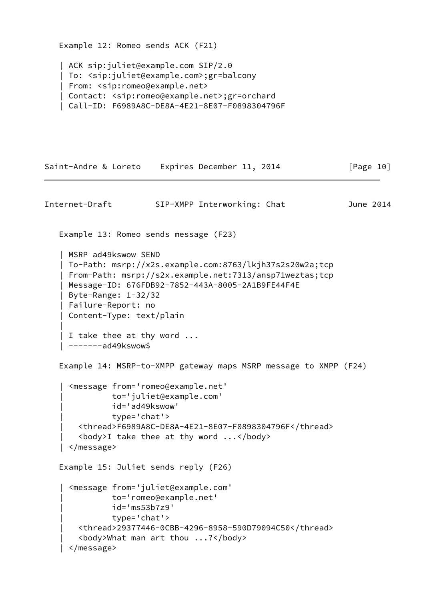```
 Example 12: Romeo sends ACK (F21)
    | ACK sip:juliet@example.com SIP/2.0
    | To: <sip:juliet@example.com>;gr=balcony
    | From: <sip:romeo@example.net>
    | Contact: <sip:romeo@example.net>;gr=orchard
    | Call-ID: F6989A8C-DE8A-4E21-8E07-F0898304796F
Saint-Andre & Loreto Expires December 11, 2014 [Page 10]
Internet-Draft SIP-XMPP Interworking: Chat June 2014
    Example 13: Romeo sends message (F23)
    | MSRP ad49kswow SEND
    | To-Path: msrp://x2s.example.com:8763/lkjh37s2s20w2a;tcp
    | From-Path: msrp://s2x.example.net:7313/ansp71weztas;tcp
    | Message-ID: 676FDB92-7852-443A-8005-2A1B9FE44F4E
    | Byte-Range: 1-32/32
    | Failure-Report: no
    | Content-Type: text/plain
 |
    | I take thee at thy word ...
    | -------ad49kswow$
    Example 14: MSRP-to-XMPP gateway maps MSRP message to XMPP (F24)
      | <message from='romeo@example.net'
               | to='juliet@example.com'
               | id='ad49kswow'
               | type='chat'>
        | <thread>F6989A8C-DE8A-4E21-8E07-F0898304796F</thread>
       \langle body>I take thee at thy word \ldots | </message>
    Example 15: Juliet sends reply (F26)
    | <message from='juliet@example.com'
               | to='romeo@example.net'
               | id='ms53b7z9'
               | type='chat'>
        | <thread>29377446-0CBB-4296-8958-590D79094C50</thread>
        | <body>What man art thou ...?</body>
```

```
 | </message>
```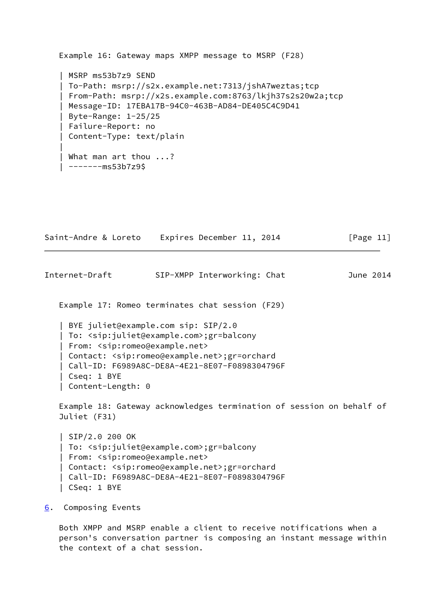```
 Example 16: Gateway maps XMPP message to MSRP (F28)
    | MSRP ms53b7z9 SEND
    | To-Path: msrp://s2x.example.net:7313/jshA7weztas;tcp
    | From-Path: msrp://x2s.example.com:8763/lkjh37s2s20w2a;tcp
    | Message-ID: 17EBA17B-94C0-463B-AD84-DE405C4C9D41
    | Byte-Range: 1-25/25
    | Failure-Report: no
    | Content-Type: text/plain
 |
    | What man art thou ...?
    | -------ms53b7z9$
```

| Saint-Andre & Loreto | Expires December 11, 2014 | [Page 11] |
|----------------------|---------------------------|-----------|
|----------------------|---------------------------|-----------|

<span id="page-12-1"></span>Internet-Draft SIP-XMPP Interworking: Chat June 2014

Example 17: Romeo terminates chat session (F29)

 | BYE juliet@example.com sip: SIP/2.0 | To: <sip:juliet@example.com>;gr=balcony | From: <sip:romeo@example.net> | Contact: <sip:romeo@example.net>;gr=orchard | Call-ID: F6989A8C-DE8A-4E21-8E07-F0898304796F | Cseq: 1 BYE | Content-Length: 0

 Example 18: Gateway acknowledges termination of session on behalf of Juliet (F31)

```
 | SIP/2.0 200 OK
 | To: <sip:juliet@example.com>;gr=balcony
 | From: <sip:romeo@example.net>
 | Contact: <sip:romeo@example.net>;gr=orchard
 | Call-ID: F6989A8C-DE8A-4E21-8E07-F0898304796F
 | CSeq: 1 BYE
```
<span id="page-12-0"></span>[6](#page-12-0). Composing Events

 Both XMPP and MSRP enable a client to receive notifications when a person's conversation partner is composing an instant message within the context of a chat session.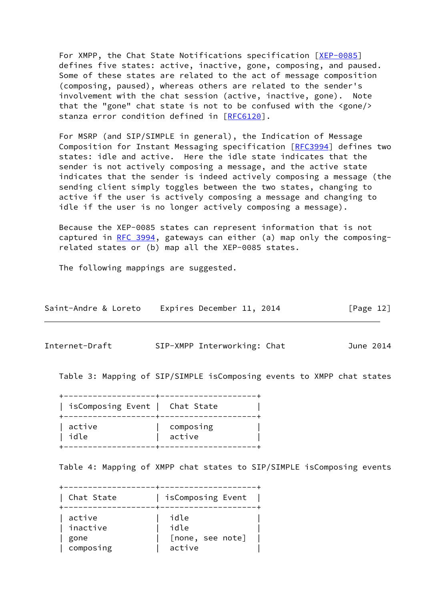For XMPP, the Chat State Notifications specification [\[XEP-0085](#page-18-2)] defines five states: active, inactive, gone, composing, and paused. Some of these states are related to the act of message composition (composing, paused), whereas others are related to the sender's involvement with the chat session (active, inactive, gone). Note that the "gone" chat state is not to be confused with the <gone/> stanza error condition defined in [[RFC6120](https://datatracker.ietf.org/doc/pdf/rfc6120)].

 For MSRP (and SIP/SIMPLE in general), the Indication of Message Composition for Instant Messaging specification [\[RFC3994](https://datatracker.ietf.org/doc/pdf/rfc3994)] defines two states: idle and active. Here the idle state indicates that the sender is not actively composing a message, and the active state indicates that the sender is indeed actively composing a message (the sending client simply toggles between the two states, changing to active if the user is actively composing a message and changing to idle if the user is no longer actively composing a message).

 Because the XEP-0085 states can represent information that is not captured in [RFC 3994,](https://datatracker.ietf.org/doc/pdf/rfc3994) gateways can either (a) map only the composing related states or (b) map all the XEP-0085 states.

The following mappings are suggested.

| Saint-Andre & Loreto | Expires December 11, 2014 | [Page 12] |
|----------------------|---------------------------|-----------|
|----------------------|---------------------------|-----------|

Internet-Draft SIP-XMPP Interworking: Chat June 2014

Table 3: Mapping of SIP/SIMPLE isComposing events to XMPP chat states

 +-------------------+--------------------+ | isComposing Event | Chat State | +-------------------+--------------------+ | active | composing | | idle | active | +-------------------+--------------------+

Table 4: Mapping of XMPP chat states to SIP/SIMPLE isComposing events

 +-------------------+--------------------+ | Chat State | isComposing Event | +-------------------+--------------------+ | active | idle | | inactive | idle | | gone | [none, see note] | | composing | active |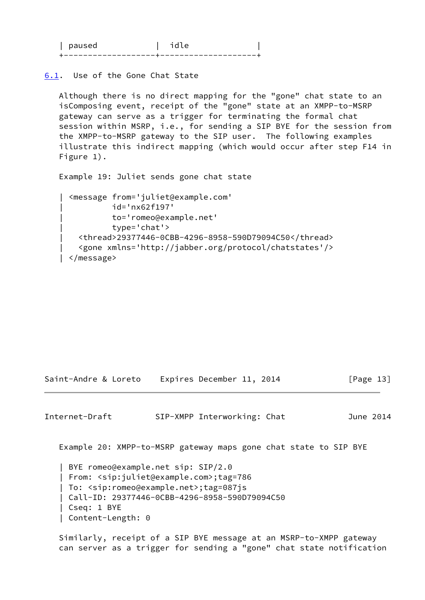| nalisad |  |
|---------|--|
|         |  |

<span id="page-14-1"></span>[6.1](#page-14-1). Use of the Gone Chat State

 Although there is no direct mapping for the "gone" chat state to an isComposing event, receipt of the "gone" state at an XMPP-to-MSRP gateway can serve as a trigger for terminating the formal chat session within MSRP, i.e., for sending a SIP BYE for the session from the XMPP-to-MSRP gateway to the SIP user. The following examples illustrate this indirect mapping (which would occur after step F14 in Figure 1).

Example 19: Juliet sends gone chat state

```
 | <message from='juliet@example.com'
           | id='nx62f197'
           | to='romeo@example.net'
           | type='chat'>
   | <thread>29377446-0CBB-4296-8958-590D79094C50</thread>
   | <gone xmlns='http://jabber.org/protocol/chatstates'/>
 | </message>
```
Saint-Andre & Loreto Expires December 11, 2014 [Page 13]

<span id="page-14-0"></span>Internet-Draft SIP-XMPP Interworking: Chat June 2014

Example 20: XMPP-to-MSRP gateway maps gone chat state to SIP BYE

 | BYE romeo@example.net sip: SIP/2.0 | From: <sip:juliet@example.com>;tag=786 | To: <sip:romeo@example.net>;tag=087js | Call-ID: 29377446-0CBB-4296-8958-590D79094C50 | Cseq: 1 BYE | Content-Length: 0

 Similarly, receipt of a SIP BYE message at an MSRP-to-XMPP gateway can server as a trigger for sending a "gone" chat state notification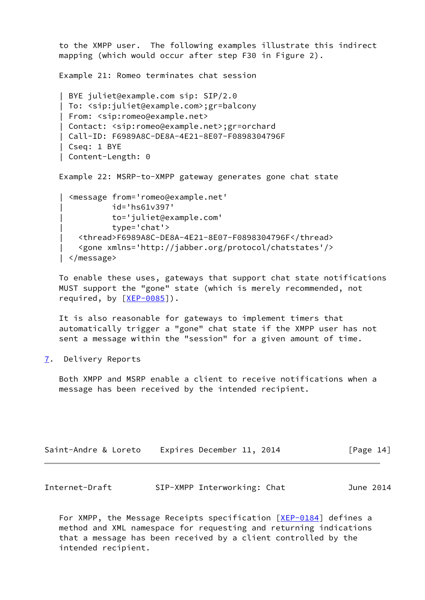```
 to the XMPP user. The following examples illustrate this indirect
 mapping (which would occur after step F30 in Figure 2).
 Example 21: Romeo terminates chat session
 | BYE juliet@example.com sip: SIP/2.0
 | To: <sip:juliet@example.com>;gr=balcony
 | From: <sip:romeo@example.net>
 | Contact: <sip:romeo@example.net>;gr=orchard
 | Call-ID: F6989A8C-DE8A-4E21-8E07-F0898304796F
 | Cseq: 1 BYE
 | Content-Length: 0
 Example 22: MSRP-to-XMPP gateway generates gone chat state
   | <message from='romeo@example.net'
            | id='hs61v397'
            | to='juliet@example.com'
            | type='chat'>
     | <thread>F6989A8C-DE8A-4E21-8E07-F0898304796F</thread>
     | <gone xmlns='http://jabber.org/protocol/chatstates'/>
   | </message>
```
 To enable these uses, gateways that support chat state notifications MUST support the "gone" state (which is merely recommended, not required, by [\[XEP-0085](#page-18-2)]).

 It is also reasonable for gateways to implement timers that automatically trigger a "gone" chat state if the XMPP user has not sent a message within the "session" for a given amount of time.

<span id="page-15-0"></span>[7](#page-15-0). Delivery Reports

 Both XMPP and MSRP enable a client to receive notifications when a message has been received by the intended recipient.

| Saint-Andre & Loreto | Expires December 11, 2014 | [Page 14] |
|----------------------|---------------------------|-----------|
|                      |                           |           |

| Internet-Draft |  | SIP-XMPP Interworking: Chat |  | June 2014 |  |
|----------------|--|-----------------------------|--|-----------|--|
|----------------|--|-----------------------------|--|-----------|--|

For XMPP, the Message Receipts specification  $[XEP-0184]$  $[XEP-0184]$  defines a method and XML namespace for requesting and returning indications that a message has been received by a client controlled by the intended recipient.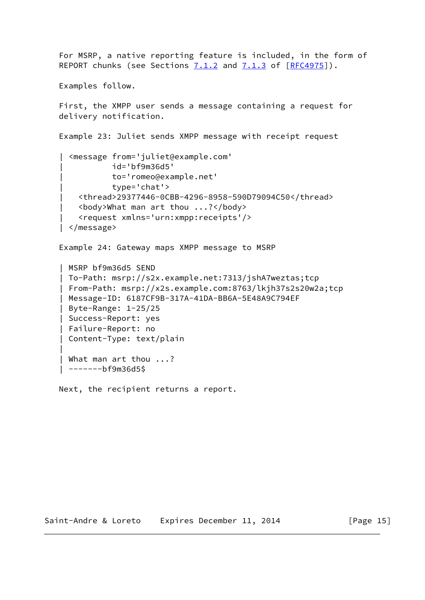```
 For MSRP, a native reporting feature is included, in the form of
  REPORT chunks (see Sections 7.1.2 and 7.1.3 of [REC4975]).
   Examples follow.
    First, the XMPP user sends a message containing a request for
   delivery notification.
   Example 23: Juliet sends XMPP message with receipt request
      | <message from='juliet@example.com'
               | id='bf9m36d5'
               | to='romeo@example.net'
               | type='chat'>
        | <thread>29377446-0CBB-4296-8958-590D79094C50</thread>
        | <body>What man art thou ...?</body>
        | <request xmlns='urn:xmpp:receipts'/>
     | </message>
   Example 24: Gateway maps XMPP message to MSRP
    | MSRP bf9m36d5 SEND
    | To-Path: msrp://s2x.example.net:7313/jshA7weztas;tcp
    | From-Path: msrp://x2s.example.com:8763/lkjh37s2s20w2a;tcp
    | Message-ID: 6187CF9B-317A-41DA-BB6A-5E48A9C794EF
    | Byte-Range: 1-25/25
    | Success-Report: yes
    | Failure-Report: no
    | Content-Type: text/plain
 |
    | What man art thou ...?
    | -------bf9m36d5$
```
Next, the recipient returns a report.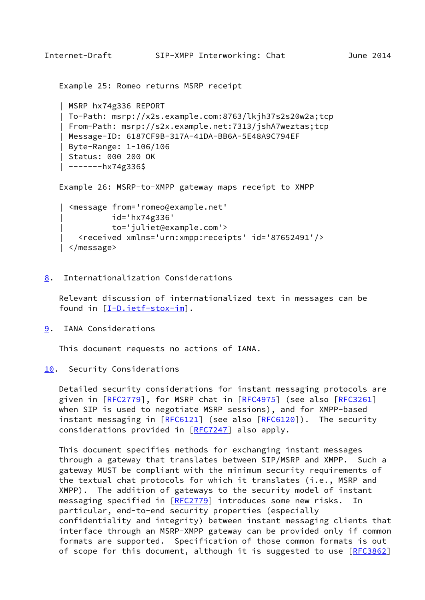```
Internet-Draft SIP-XMPP Interworking: Chat June 2014
    Example 25: Romeo returns MSRP receipt
    | MSRP hx74g336 REPORT
    | To-Path: msrp://x2s.example.com:8763/lkjh37s2s20w2a;tcp
    | From-Path: msrp://s2x.example.net:7313/jshA7weztas;tcp
    | Message-ID: 6187CF9B-317A-41DA-BB6A-5E48A9C794EF
    | Byte-Range: 1-106/106
    | Status: 000 200 OK
   | -------hx74g336$
    Example 26: MSRP-to-XMPP gateway maps receipt to XMPP
     | <message from='romeo@example.net'
               | id='hx74g336'
               | to='juliet@example.com'>
        | <received xmlns='urn:xmpp:receipts' id='87652491'/>
    | </message>
```
<span id="page-17-0"></span>[8](#page-17-0). Internationalization Considerations

 Relevant discussion of internationalized text in messages can be found in [\[I-D.ietf-stox-im](#page-19-2)].

<span id="page-17-2"></span>[9](#page-17-2). IANA Considerations

This document requests no actions of IANA.

<span id="page-17-3"></span>[10.](#page-17-3) Security Considerations

 Detailed security considerations for instant messaging protocols are given in [\[RFC2779](https://datatracker.ietf.org/doc/pdf/rfc2779)], for MSRP chat in [\[RFC4975](https://datatracker.ietf.org/doc/pdf/rfc4975)] (see also [\[RFC3261](https://datatracker.ietf.org/doc/pdf/rfc3261)] when SIP is used to negotiate MSRP sessions), and for XMPP-based instant messaging in [\[RFC6121](https://datatracker.ietf.org/doc/pdf/rfc6121)] (see also [\[RFC6120](https://datatracker.ietf.org/doc/pdf/rfc6120)]). The security considerations provided in [[RFC7247\]](https://datatracker.ietf.org/doc/pdf/rfc7247) also apply.

 This document specifies methods for exchanging instant messages through a gateway that translates between SIP/MSRP and XMPP. Such a gateway MUST be compliant with the minimum security requirements of the textual chat protocols for which it translates (i.e., MSRP and XMPP). The addition of gateways to the security model of instant messaging specified in [\[RFC2779](https://datatracker.ietf.org/doc/pdf/rfc2779)] introduces some new risks. In particular, end-to-end security properties (especially confidentiality and integrity) between instant messaging clients that interface through an MSRP-XMPP gateway can be provided only if common formats are supported. Specification of those common formats is out of scope for this document, although it is suggested to use [\[RFC3862](https://datatracker.ietf.org/doc/pdf/rfc3862)]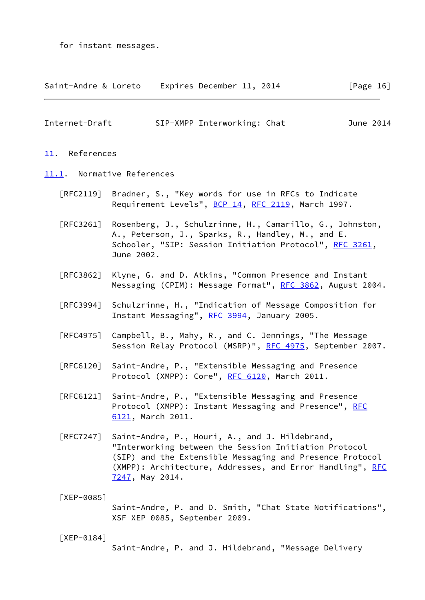for instant messages.

| Saint-Andre & Loreto | Expires December 11, 2014 |  | [Page 16] |
|----------------------|---------------------------|--|-----------|
|----------------------|---------------------------|--|-----------|

<span id="page-18-1"></span>

| Internet-Draft | SIP-XMPP Interworking: Chat | June 2014 |  |
|----------------|-----------------------------|-----------|--|
|                |                             |           |  |

### <span id="page-18-0"></span>[11.](#page-18-0) References

- <span id="page-18-4"></span>[11.1](#page-18-4). Normative References
	- [RFC2119] Bradner, S., "Key words for use in RFCs to Indicate Requirement Levels", [BCP 14](https://datatracker.ietf.org/doc/pdf/bcp14), [RFC 2119](https://datatracker.ietf.org/doc/pdf/rfc2119), March 1997.

 [RFC3261] Rosenberg, J., Schulzrinne, H., Camarillo, G., Johnston, A., Peterson, J., Sparks, R., Handley, M., and E. Schooler, "SIP: Session Initiation Protocol", [RFC 3261](https://datatracker.ietf.org/doc/pdf/rfc3261), June 2002.

- [RFC3862] Klyne, G. and D. Atkins, "Common Presence and Instant Messaging (CPIM): Message Format", [RFC 3862](https://datatracker.ietf.org/doc/pdf/rfc3862), August 2004.
- [RFC3994] Schulzrinne, H., "Indication of Message Composition for Instant Messaging", [RFC 3994,](https://datatracker.ietf.org/doc/pdf/rfc3994) January 2005.
- [RFC4975] Campbell, B., Mahy, R., and C. Jennings, "The Message Session Relay Protocol (MSRP)", [RFC 4975,](https://datatracker.ietf.org/doc/pdf/rfc4975) September 2007.
- [RFC6120] Saint-Andre, P., "Extensible Messaging and Presence Protocol (XMPP): Core", [RFC 6120,](https://datatracker.ietf.org/doc/pdf/rfc6120) March 2011.
- [RFC6121] Saint-Andre, P., "Extensible Messaging and Presence Protocol (XMPP): Instant Messaging and Presence", [RFC](https://datatracker.ietf.org/doc/pdf/rfc6121) [6121,](https://datatracker.ietf.org/doc/pdf/rfc6121) March 2011.
- [RFC7247] Saint-Andre, P., Houri, A., and J. Hildebrand, "Interworking between the Session Initiation Protocol (SIP) and the Extensible Messaging and Presence Protocol (XMPP): Architecture, Addresses, and Error Handling", [RFC](https://datatracker.ietf.org/doc/pdf/rfc7247) [7247,](https://datatracker.ietf.org/doc/pdf/rfc7247) May 2014.

<span id="page-18-2"></span>[XEP-0085]

 Saint-Andre, P. and D. Smith, "Chat State Notifications", XSF XEP 0085, September 2009.

<span id="page-18-3"></span>[XEP-0184]

Saint-Andre, P. and J. Hildebrand, "Message Delivery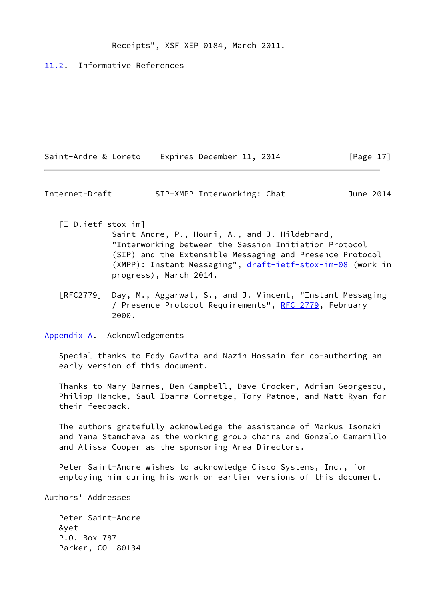## Receipts", XSF XEP 0184, March 2011.

## <span id="page-19-3"></span>[11.2](#page-19-3). Informative References

| Saint-Andre & Loreto | Expires December 11, 2014 |           |
|----------------------|---------------------------|-----------|
|                      |                           | [Page 17] |

<span id="page-19-1"></span>Internet-Draft SIP-XMPP Interworking: Chat June 2014

<span id="page-19-2"></span>[I-D.ietf-stox-im]

 Saint-Andre, P., Houri, A., and J. Hildebrand, "Interworking between the Session Initiation Protocol (SIP) and the Extensible Messaging and Presence Protocol (XMPP): Instant Messaging", [draft-ietf-stox-im-08](https://datatracker.ietf.org/doc/pdf/draft-ietf-stox-im-08) (work in progress), March 2014.

 [RFC2779] Day, M., Aggarwal, S., and J. Vincent, "Instant Messaging / Presence Protocol Requirements", [RFC 2779](https://datatracker.ietf.org/doc/pdf/rfc2779), February 2000.

<span id="page-19-0"></span>[Appendix A.](#page-19-0) Acknowledgements

 Special thanks to Eddy Gavita and Nazin Hossain for co-authoring an early version of this document.

 Thanks to Mary Barnes, Ben Campbell, Dave Crocker, Adrian Georgescu, Philipp Hancke, Saul Ibarra Corretge, Tory Patnoe, and Matt Ryan for their feedback.

 The authors gratefully acknowledge the assistance of Markus Isomaki and Yana Stamcheva as the working group chairs and Gonzalo Camarillo and Alissa Cooper as the sponsoring Area Directors.

 Peter Saint-Andre wishes to acknowledge Cisco Systems, Inc., for employing him during his work on earlier versions of this document.

Authors' Addresses

 Peter Saint-Andre &yet P.O. Box 787 Parker, CO 80134